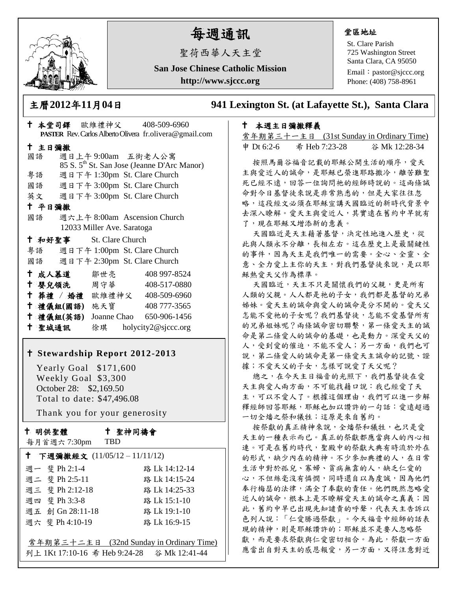

# 每週通訊

聖荷西華人天主堂

**San Jose Chinese Catholic Mission**

**http://www.sjccc.org**

## 堂區地址

St. Clare Parish 725 Washington Street Santa Clara, CA 95050

Email: [pastor@sjccc.org](mailto:pastor@sjccc.org) Phone: (408) 758-8961

主曆**2012**年**11**月**04**日 **941 Lexington St. (at Lafayette St.), Santa Clara** 

# 本週主日彌撒釋義

常年期第三十一主日 (31st Sunday in Ordinary Time) 申 Dt 6:2-6 希 Heb 7:23-28 谷 Mk 12:28-34

按照馬爾谷福音記載的耶穌公開生活的順序,愛天 主與愛近人的誡命,是耶穌已榮進耶路撒冷,離苦難聖 死已經不遠,回答一位詢問祂的經師時說的。這兩條誡 命對今日基督徒來說是非常熟悉的,但是大家往往忽 略,這段經文必須在耶穌宣講天國臨近的新時代背景中 去深入瞭解。愛天主與愛近人,其實遠在舊約中早就有 了,現在耶穌又增添新的意義。

天國臨近是天主藉著基督,決定性地進入歷史,從 此與人類永不分離,長相左右。這在歷史上是最關鍵性 的事件,因為天主是我們唯一的需要。全心、全靈、全 意、全力愛上主你的天主,對我們基督徒來說,是以耶 穌熱愛天父作為標準。

天國臨近,天主不只是關懷我們的父親,更是所有 人類的父親。人人都是祂的子女,我們都是基督的兄弟 姊妹。愛天主的誡命與愛人的誡命是分不開的。愛天父 怎能不愛祂的子女呢?我們基督徒,怎能不愛基督所有 的兄弟姐妹呢?兩條誡命密切聯繫,第一條愛天主的誡 命是第二條愛人的誠命的基礎,也是動力。深愛天父的 人,受到愛的催迫,不能不愛人;另一方面,我們也可 說,第二條愛人的誠命是第一條愛天主誠命的記號、證 據;不愛天父的子女,怎樣可說愛了天父呢?

總之,在今天主日福音的光照下,我們基督徒在愛 天主與愛人兩方面,不可能找藉口說:我已經愛了天 主,可以不愛人了。根據這個理由,我們可以進一步解 釋經師回答耶穌,耶穌也加以讚許的一句話:愛遠超過 一切全燔之祭和犧牲;這原是來自舊約。

按祭獻的真正精神來說,全燔祭和犧牲,也只是愛 天主的一種表示而已。真正的祭獻都應當與人的內心相 連。可是在舊約時代,聖殿中的祭獻大典有時流於外在 的形式,缺少內在的精神。不少參加典禮的人,在日常 生活中對於孤兒、寡婦、貧病無靠的人,缺乏仁愛的 心,不但絲毫沒有憐憫,同時還自以為虔誠,因為他們 奉行梅瑟的法律,滿全了奉獻的責任。他們既然忽略愛 近人的誡命,根本上是不瞭解愛天主的誡命之真義;因 此,舊約中早已出現先知譴責的呼聲,代表天主告訴以 色列人說:「仁愛勝過祭獻」。今天福音中經師的話表 現的精神,則是耶穌讚許的;耶穌並不是要人忽略祭 獻,而是要求祭獻與仁愛密切相合。為此,祭獻一方面 應當出自對天主的感恩報愛,另一方面,又得注意對近

|        |               |                                 | PASTER Rev. Carlos Alberto Olivera fr.olivera@gmail.com |  |
|--------|---------------|---------------------------------|---------------------------------------------------------|--|
| 十 主日彌撒 |               |                                 |                                                         |  |
|        | 國語            | 週日上午9:00am 五街老人公寓               |                                                         |  |
|        |               |                                 | 85 S. 5 <sup>th</sup> St. San Jose (Jeanne D'Arc Manor) |  |
|        | 粤語            | 週日下午 1:30pm St. Clare Church    |                                                         |  |
|        |               | 國語 週日下午 3:00pm St. Clare Church |                                                         |  |
|        |               | 英文 週日下午 3:00pm St. Clare Church |                                                         |  |
| 十 平日彌撒 |               |                                 |                                                         |  |
|        | 國語            |                                 | 週六上午 8:00am Ascension Church                            |  |
|        |               | 12033 Miller Ave. Saratoga      |                                                         |  |
|        |               | + 和好聖事 St. Clare Church         |                                                         |  |
|        |               | 粤語 週日下午 1:00pm St. Clare Church |                                                         |  |
|        |               | 國語 週日下午 2:30pm St. Clare Church |                                                         |  |
|        |               | † 成人慕道   鄒世亮                    | 408 997-8524                                            |  |
|        |               |                                 | † 嬰兒領洗 周守華 408-517-0880                                 |  |
|        |               |                                 | † 葬禮 / 婚禮 歐維禮神父 408-509-6960                            |  |
|        | 十 禮儀組(國語) 施天寶 |                                 | 408 777-3565                                            |  |
|        | 十 禮儀組(英語)     |                                 | Joanne Chao 650-906-1456                                |  |
|        | 十 聖城通訊        |                                 | 徐琪 holycity2@sjccc.org                                  |  |

本堂司鐸 歐維禮神父 408-509-6960

## **Stewardship Report 2012-2013**

 Yearly Goal \$171,600 Weekly Goal \$3,300 October 28: \$2,169.50 Total to date: \$47,496.08

Thank you for your generosity

#### 十 明供聖體

每月首週六 7:30pm

聖神同禱會

| ↑ 下週彌撒經文 (11/05/12-11/11/12) |                  |                                          |  |  |
|------------------------------|------------------|------------------------------------------|--|--|
|                              | 週一 斐 Ph 2:1-4    | 路 Lk 14:12-14                            |  |  |
|                              | 週二 斐 Ph 2:5-11   | 路 Lk 14:15-24                            |  |  |
|                              | 週三 斐 Ph 2:12-18  | 路 Lk 14:25-33                            |  |  |
|                              | 週四 斐 Ph 3:3-8    | 路 Lk 15:1-10                             |  |  |
|                              | 週五 創 Gn 28:11-18 | 路 Lk 19:1-10                             |  |  |
|                              | 週六 斐 Ph 4:10-19  | 路 Lk 16:9-15                             |  |  |
|                              |                  |                                          |  |  |
|                              |                  | 常年期第三十二主日 (32nd Sunday in Ordinary Time) |  |  |
|                              |                  |                                          |  |  |

TBD